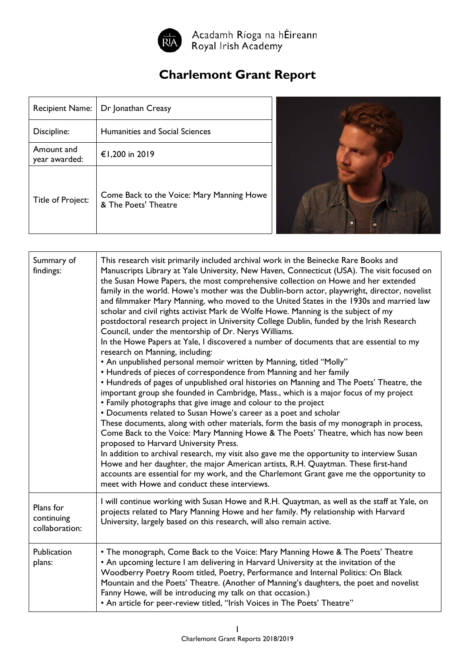

Acadamh Ríoga na hÉireann<br>Royal Irish Academy

## **Charlemont Grant Report**

| <b>Recipient Name:</b>      | Dr Jonathan Creasy                                                |  |
|-----------------------------|-------------------------------------------------------------------|--|
| Discipline:                 | Humanities and Social Sciences                                    |  |
| Amount and<br>year awarded: | €1,200 in 2019                                                    |  |
| Title of Project:           | Come Back to the Voice: Mary Manning Howe<br>& The Poets' Theatre |  |



| Summary of<br>findings:                   | This research visit primarily included archival work in the Beinecke Rare Books and<br>Manuscripts Library at Yale University, New Haven, Connecticut (USA). The visit focused on<br>the Susan Howe Papers, the most comprehensive collection on Howe and her extended<br>family in the world. Howe's mother was the Dublin-born actor, playwright, director, novelist<br>and filmmaker Mary Manning, who moved to the United States in the 1930s and married law<br>scholar and civil rights activist Mark de Wolfe Howe. Manning is the subject of my<br>postdoctoral research project in University College Dublin, funded by the Irish Research<br>Council, under the mentorship of Dr. Nerys Williams.<br>In the Howe Papers at Yale, I discovered a number of documents that are essential to my<br>research on Manning, including:<br>• An unpublished personal memoir written by Manning, titled "Molly"<br>• Hundreds of pieces of correspondence from Manning and her family<br>• Hundreds of pages of unpublished oral histories on Manning and The Poets' Theatre, the<br>important group she founded in Cambridge, Mass., which is a major focus of my project<br>• Family photographs that give image and colour to the project<br>• Documents related to Susan Howe's career as a poet and scholar<br>These documents, along with other materials, form the basis of my monograph in process,<br>Come Back to the Voice: Mary Manning Howe & The Poets' Theatre, which has now been<br>proposed to Harvard University Press.<br>In addition to archival research, my visit also gave me the opportunity to interview Susan<br>Howe and her daughter, the major American artists, R.H. Quaytman. These first-hand<br>accounts are essential for my work, and the Charlemont Grant gave me the opportunity to<br>meet with Howe and conduct these interviews. |
|-------------------------------------------|----------------------------------------------------------------------------------------------------------------------------------------------------------------------------------------------------------------------------------------------------------------------------------------------------------------------------------------------------------------------------------------------------------------------------------------------------------------------------------------------------------------------------------------------------------------------------------------------------------------------------------------------------------------------------------------------------------------------------------------------------------------------------------------------------------------------------------------------------------------------------------------------------------------------------------------------------------------------------------------------------------------------------------------------------------------------------------------------------------------------------------------------------------------------------------------------------------------------------------------------------------------------------------------------------------------------------------------------------------------------------------------------------------------------------------------------------------------------------------------------------------------------------------------------------------------------------------------------------------------------------------------------------------------------------------------------------------------------------------------------------------------------------------------------------------------------------------------------------------------------------|
| Plans for<br>continuing<br>collaboration: | I will continue working with Susan Howe and R.H. Quaytman, as well as the staff at Yale, on<br>projects related to Mary Manning Howe and her family. My relationship with Harvard<br>University, largely based on this research, will also remain active.                                                                                                                                                                                                                                                                                                                                                                                                                                                                                                                                                                                                                                                                                                                                                                                                                                                                                                                                                                                                                                                                                                                                                                                                                                                                                                                                                                                                                                                                                                                                                                                                                  |
| Publication<br>plans:                     | • The monograph, Come Back to the Voice: Mary Manning Howe & The Poets' Theatre<br>• An upcoming lecture I am delivering in Harvard University at the invitation of the<br>Woodberry Poetry Room titled, Poetry, Performance and Internal Politics: On Black<br>Mountain and the Poets' Theatre. (Another of Manning's daughters, the poet and novelist<br>Fanny Howe, will be introducing my talk on that occasion.)<br>• An article for peer-review titled, "Irish Voices in The Poets' Theatre"                                                                                                                                                                                                                                                                                                                                                                                                                                                                                                                                                                                                                                                                                                                                                                                                                                                                                                                                                                                                                                                                                                                                                                                                                                                                                                                                                                         |